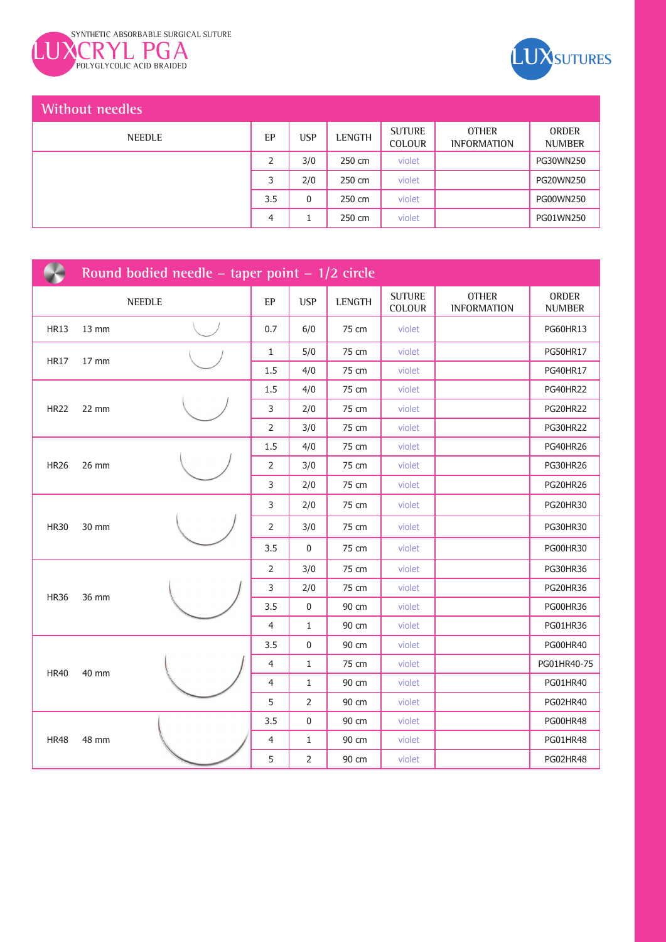



## **Without needles**

| <b>NEEDLE</b> | EP  | <b>USP</b> | <b>LENGTH</b> | <b>SUTURE</b><br><b>COLOUR</b> | <b>OTHER</b><br><b>INFORMATION</b> | <b>ORDER</b><br><b>NUMBER</b> |
|---------------|-----|------------|---------------|--------------------------------|------------------------------------|-------------------------------|
|               |     | 3/0        | 250 cm        | violet                         |                                    | PG30WN250                     |
|               |     | 2/0        | 250 cm        | violet                         |                                    | <b>PG20WN250</b>              |
|               | 3.5 | 0          | 250 cm        | violet                         |                                    | PG00WN250                     |
|               | 4   |            | 250 cm        | violet                         |                                    | PG01WN250                     |

| Round bodied needle – taper point – $1/2$ circle |                   |               |                |              |               |                         |                                    |                        |
|--------------------------------------------------|-------------------|---------------|----------------|--------------|---------------|-------------------------|------------------------------------|------------------------|
|                                                  |                   | <b>NEEDLE</b> | EP             | <b>USP</b>   | <b>LENGTH</b> | <b>SUTURE</b><br>COLOUR | <b>OTHER</b><br><b>INFORMATION</b> | ORDER<br><b>NUMBER</b> |
| <b>HR13</b>                                      | $13 \, \text{mm}$ |               | 0.7            | 6/0          | 75 cm         | violet                  |                                    | PG60HR13               |
| <b>HR17</b>                                      | 17 mm             |               | $\mathbf{1}$   | 5/0          | 75 cm         | violet                  |                                    | <b>PG50HR17</b>        |
|                                                  |                   |               | 1.5            | 4/0          | 75 cm         | violet                  |                                    | <b>PG40HR17</b>        |
|                                                  |                   |               | 1.5            | 4/0          | 75 cm         | violet                  |                                    | <b>PG40HR22</b>        |
| <b>HR22</b>                                      | 22 mm             |               | 3              | 2/0          | 75 cm         | violet                  |                                    | <b>PG20HR22</b>        |
|                                                  |                   |               | 2              | 3/0          | 75 cm         | violet                  |                                    | <b>PG30HR22</b>        |
|                                                  |                   |               | 1.5            | 4/0          | 75 cm         | violet                  |                                    | PG40HR26               |
| <b>HR26</b>                                      | 26 mm             |               | 2              | 3/0          | 75 cm         | violet                  |                                    | <b>PG30HR26</b>        |
|                                                  |                   |               | 3              | 2/0          | 75 cm         | violet                  |                                    | <b>PG20HR26</b>        |
|                                                  |                   |               | 3              | 2/0          | 75 cm         | violet                  |                                    | PG20HR30               |
| <b>HR30</b>                                      | 30 mm             |               | $\overline{2}$ | 3/0          | 75 cm         | violet                  |                                    | PG30HR30               |
|                                                  |                   |               | 3.5            | 0            | 75 cm         | violet                  |                                    | <b>PG00HR30</b>        |
|                                                  |                   |               | 2              | 3/0          | 75 cm         | violet                  |                                    | <b>PG30HR36</b>        |
| <b>HR36</b>                                      |                   |               | 3              | 2/0          | 75 cm         | violet                  |                                    | <b>PG20HR36</b>        |
|                                                  | 36 mm             |               | 3.5            | 0            | 90 cm         | violet                  |                                    | PG00HR36               |
|                                                  |                   |               | 4              | 1            | 90 cm         | violet                  |                                    | PG01HR36               |
|                                                  |                   |               | 3.5            | 0            | 90 cm         | violet                  |                                    | <b>PG00HR40</b>        |
| <b>HR40</b>                                      | 40 mm             |               | 4              | $\mathbf{1}$ | 75 cm         | violet                  |                                    | PG01HR40-75            |
|                                                  |                   |               | $\overline{4}$ | 1            | 90 cm         | violet                  |                                    | PG01HR40               |
|                                                  |                   |               | 5              | 2            | 90 cm         | violet                  |                                    | PG02HR40               |
|                                                  |                   |               | 3.5            | 0            | 90 cm         | violet                  |                                    | <b>PG00HR48</b>        |
| <b>HR48</b>                                      | 48 mm             |               | 4              | $\mathbf{1}$ | 90 cm         | violet                  |                                    | PG01HR48               |
|                                                  |                   |               | 5              | 2            | 90 cm         | violet                  |                                    | <b>PG02HR48</b>        |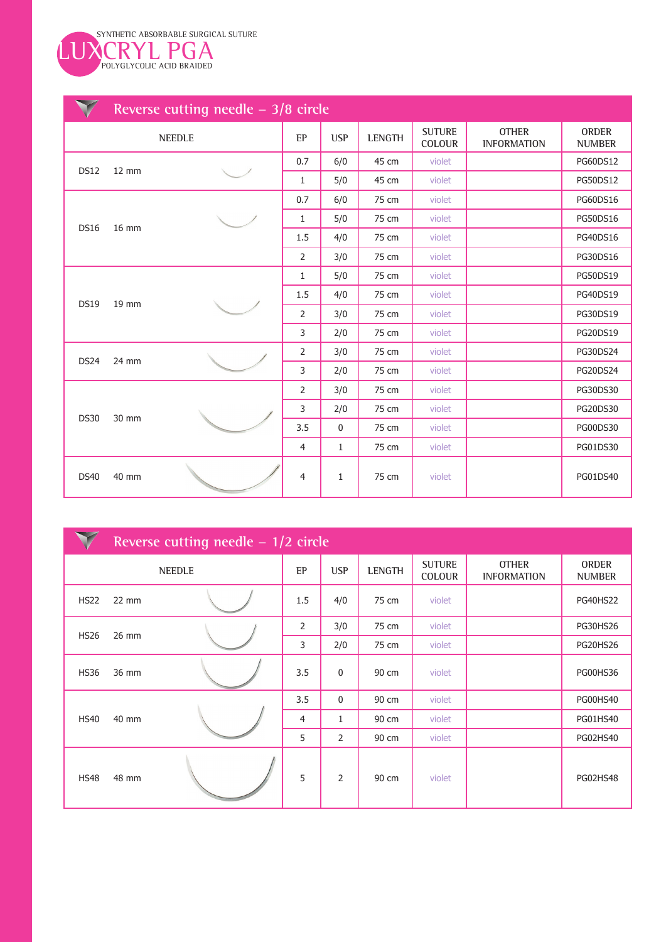

|             | Reverse cutting needle $-3/8$ circle |               |                |              |        |                         |                                    |                        |  |  |
|-------------|--------------------------------------|---------------|----------------|--------------|--------|-------------------------|------------------------------------|------------------------|--|--|
|             |                                      | <b>NEEDLE</b> | EP             | <b>USP</b>   | LENGTH | <b>SUTURE</b><br>COLOUR | <b>OTHER</b><br><b>INFORMATION</b> | ORDER<br><b>NUMBER</b> |  |  |
| <b>DS12</b> | $12 \, \text{mm}$                    |               | 0.7            | 6/0          | 45 cm  | violet                  |                                    | PG60DS12               |  |  |
|             |                                      |               | 1              | 5/0          | 45 cm  | violet                  |                                    | PG50DS12               |  |  |
|             |                                      |               | 0.7            | 6/0          | 75 cm  | violet                  |                                    | <b>PG60DS16</b>        |  |  |
| <b>DS16</b> | 16 mm                                |               | $\mathbf{1}$   | 5/0          | 75 cm  | violet                  |                                    | PG50DS16               |  |  |
|             |                                      |               | 1.5            | 4/0          | 75 cm  | violet                  |                                    | PG40DS16               |  |  |
|             |                                      |               | $\overline{2}$ | 3/0          | 75 cm  | violet                  |                                    | PG30DS16               |  |  |
|             |                                      |               | 1              | 5/0          | 75 cm  | violet                  |                                    | <b>PG50DS19</b>        |  |  |
| <b>DS19</b> | 19 mm                                |               | 1.5            | 4/0          | 75 cm  | violet                  |                                    | <b>PG40DS19</b>        |  |  |
|             |                                      |               | 2              | 3/0          | 75 cm  | violet                  |                                    | PG30DS19               |  |  |
|             |                                      |               | 3              | 2/0          | 75 cm  | violet                  |                                    | PG20DS19               |  |  |
| <b>DS24</b> | 24 mm                                |               | 2              | 3/0          | 75 cm  | violet                  |                                    | PG30DS24               |  |  |
|             |                                      |               | 3              | 2/0          | 75 cm  | violet                  |                                    | <b>PG20DS24</b>        |  |  |
|             |                                      |               | 2              | 3/0          | 75 cm  | violet                  |                                    | PG30DS30               |  |  |
| <b>DS30</b> | 30 mm                                |               | 3              | 2/0          | 75 cm  | violet                  |                                    | <b>PG20DS30</b>        |  |  |
|             |                                      |               | 3.5            | $\pmb{0}$    | 75 cm  | violet                  |                                    | <b>PG00DS30</b>        |  |  |
|             |                                      |               | 4              | $\mathbf{1}$ | 75 cm  | violet                  |                                    | PG01DS30               |  |  |
| <b>DS40</b> | 40 mm                                |               | 4              | $\mathbf{1}$ | 75 cm  | violet                  |                                    | PG01DS40               |  |  |

|             | Reverse cutting needle $-1/2$ circle |  |                |                |        |                                |                                    |                               |  |  |
|-------------|--------------------------------------|--|----------------|----------------|--------|--------------------------------|------------------------------------|-------------------------------|--|--|
|             | <b>NEEDLE</b>                        |  |                | <b>USP</b>     | LENGTH | <b>SUTURE</b><br><b>COLOUR</b> | <b>OTHER</b><br><b>INFORMATION</b> | <b>ORDER</b><br><b>NUMBER</b> |  |  |
| <b>HS22</b> | $22$ mm                              |  | 1.5            | 4/0            | 75 cm  | violet                         |                                    | <b>PG40HS22</b>               |  |  |
| <b>HS26</b> | 26 mm                                |  | $\overline{2}$ | 3/0            | 75 cm  | violet                         |                                    | <b>PG30HS26</b>               |  |  |
|             |                                      |  | 3              | 2/0            | 75 cm  | violet                         |                                    | <b>PG20HS26</b>               |  |  |
| <b>HS36</b> | 36 mm                                |  | 3.5            | $\mathbf 0$    | 90 cm  | violet                         |                                    | PG00HS36                      |  |  |
|             | 40 mm<br><b>HS40</b>                 |  | 3.5            | $\mathbf 0$    | 90 cm  | violet                         |                                    | <b>PG00HS40</b>               |  |  |
|             |                                      |  | $\overline{4}$ | $\mathbf{1}$   | 90 cm  | violet                         |                                    | <b>PG01HS40</b>               |  |  |
|             |                                      |  | 5              | $\overline{2}$ | 90 cm  | violet                         |                                    | <b>PG02HS40</b>               |  |  |
| <b>HS48</b> | 48 mm                                |  | 5              | $\overline{2}$ | 90 cm  | violet                         |                                    | <b>PG02HS48</b>               |  |  |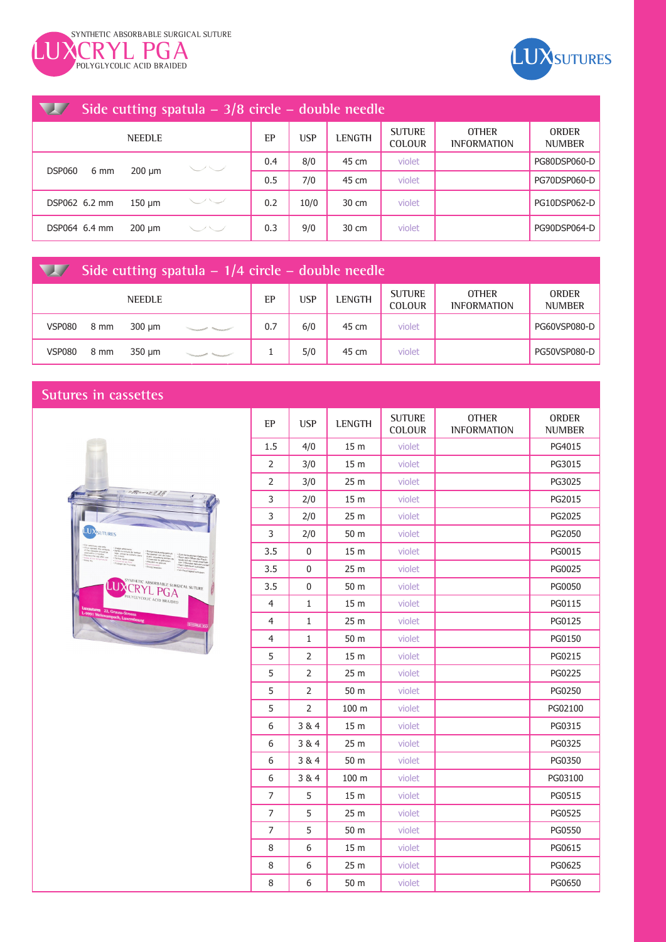



| <b>All Property</b>   |             |                |     | Side cutting spatula $-3/8$ circle $-$ double needle |               |                                |                                    |                               |
|-----------------------|-------------|----------------|-----|------------------------------------------------------|---------------|--------------------------------|------------------------------------|-------------------------------|
| <b>NEEDLE</b>         |             |                | EP  | <b>USP</b>                                           | <b>LENGTH</b> | <b>SUTURE</b><br><b>COLOUR</b> | <b>OTHER</b><br><b>INFORMATION</b> | <b>ORDER</b><br><b>NUMBER</b> |
| <b>DSP060</b><br>6 mm | $200 \mu m$ | $\smile\smile$ | 0.4 | 8/0                                                  | 45 cm         | violet                         |                                    | PG80DSP060-D                  |
|                       |             |                | 0.5 | 7/0                                                  | 45 cm         | violet                         |                                    | PG70DSP060-D                  |
| DSP062 6.2 mm         | $150 \mu m$ | ーノーン           | 0.2 | 10/0                                                 | 30 cm         | violet                         |                                    | PG10DSP062-D                  |
| DSP064 6.4 mm         | $200 \mu m$ | ヒノヒノ           | 0.3 | 9/0                                                  | 30 cm         | violet                         |                                    | PG90DSP064-D                  |

| Side cutting spatula $-1/4$ circle $-$ double needle |      |               |  |     |     |               |                                |                                    |                               |
|------------------------------------------------------|------|---------------|--|-----|-----|---------------|--------------------------------|------------------------------------|-------------------------------|
|                                                      |      | <b>NEEDLE</b> |  | EP  | USP | <b>LENGTH</b> | <b>SUTURE</b><br><b>COLOUR</b> | <b>OTHER</b><br><b>INFORMATION</b> | <b>ORDER</b><br><b>NUMBER</b> |
| <b>VSP080</b>                                        | 8 mm | 300 um        |  | 0.7 | 6/0 | 45 cm         | violet                         |                                    | PG60VSP080-D                  |
| <b>VSP080</b>                                        | 8 mm | 350 um        |  |     | 5/0 | 45 cm         | violet                         |                                    | <b>PG50VSP080-D</b>           |

## **Sutures in cassettes**



| EP             | <b>USP</b>     | <b>LENGTH</b>    | <b>SUTURE</b><br><b>COLOUR</b> | <b>OTHER</b><br><b>INFORMATION</b> | <b>ORDER</b><br><b>NUMBER</b> |
|----------------|----------------|------------------|--------------------------------|------------------------------------|-------------------------------|
| 1.5            | 4/0            | 15 <sub>m</sub>  | violet                         |                                    | PG4015                        |
| 2              | 3/0            | 15 <sub>m</sub>  | violet                         |                                    | PG3015                        |
| 2              | 3/0            | 25 m             | violet                         |                                    | PG3025                        |
| 3              | 2/0            | 15 <sub>m</sub>  | violet                         |                                    | PG2015                        |
| 3              | 2/0            | 25 m             | violet                         |                                    | PG2025                        |
| 3              | 2/0            | 50 m             | violet                         |                                    | PG2050                        |
| 3.5            | $\Omega$       | 15 <sub>m</sub>  | violet                         |                                    | PG0015                        |
| 3.5            | $\mathbf{0}$   | 25 m             | violet                         |                                    | PG0025                        |
| 3.5            | $\mathbf{0}$   | 50 m             | violet                         |                                    | PG0050                        |
| $\overline{4}$ | 1              | 15 <sub>m</sub>  | violet                         |                                    | PG0115                        |
| 4              | $\mathbf{1}$   | 25 <sub>m</sub>  | violet                         |                                    | PG0125                        |
| 4              | $\mathbf{1}$   | 50 m             | violet                         |                                    | PG0150                        |
| 5              | 2              | 15 <sub>m</sub>  | violet                         |                                    | PG0215                        |
| 5              | 2              | 25 m             | violet                         |                                    | PG0225                        |
| 5              | $\overline{2}$ | 50 m             | violet                         |                                    | PG0250                        |
| 5              | 2              | 100 <sub>m</sub> | violet                         |                                    | PG02100                       |
| 6              | 3&4            | 15 <sub>m</sub>  | violet                         |                                    | PG0315                        |
| 6              | 3&4            | 25 m             | violet                         |                                    | PG0325                        |
| 6              | 3 & 4          | 50 m             | violet                         |                                    | PG0350                        |
| 6              | 3&4            | 100 <sub>m</sub> | violet                         |                                    | PG03100                       |
| 7              | 5              | 15 <sub>m</sub>  | violet                         |                                    | PG0515                        |
| 7              | 5              | 25 m             | violet                         |                                    | PG0525                        |
| 7              | 5              | 50 m             | violet                         |                                    | <b>PG0550</b>                 |
| 8              | 6              | 15 <sub>m</sub>  | violet                         |                                    | PG0615                        |
| 8              | 6              | 25 <sub>m</sub>  | violet                         |                                    | PG0625                        |
| 8              | 6              | 50 m             | violet                         |                                    | PG0650                        |